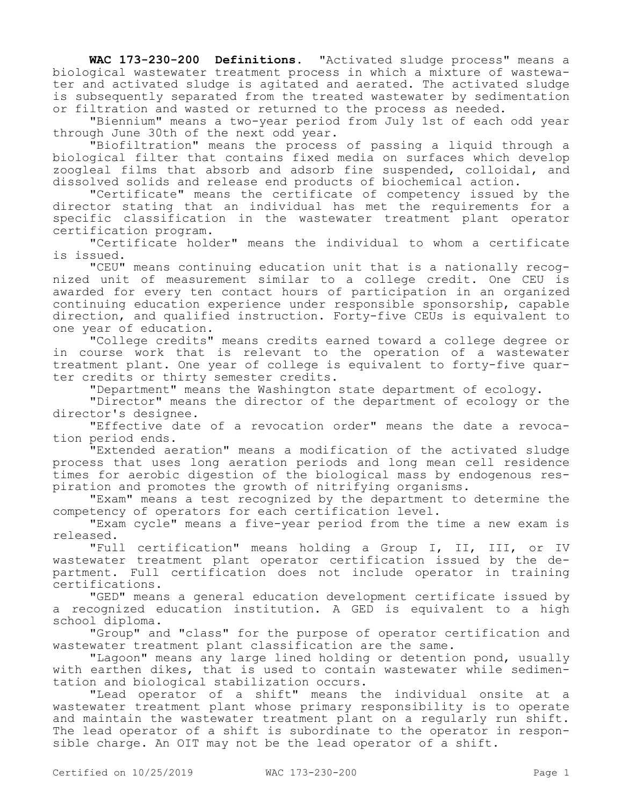**WAC 173-230-200 Definitions.** "Activated sludge process" means a biological wastewater treatment process in which a mixture of wastewater and activated sludge is agitated and aerated. The activated sludge is subsequently separated from the treated wastewater by sedimentation or filtration and wasted or returned to the process as needed.

"Biennium" means a two-year period from July 1st of each odd year through June 30th of the next odd year.

"Biofiltration" means the process of passing a liquid through a biological filter that contains fixed media on surfaces which develop zoogleal films that absorb and adsorb fine suspended, colloidal, and dissolved solids and release end products of biochemical action.

"Certificate" means the certificate of competency issued by the director stating that an individual has met the requirements for a specific classification in the wastewater treatment plant operator certification program.

"Certificate holder" means the individual to whom a certificate is issued.

"CEU" means continuing education unit that is a nationally recognized unit of measurement similar to a college credit. One CEU is awarded for every ten contact hours of participation in an organized continuing education experience under responsible sponsorship, capable direction, and qualified instruction. Forty-five CEUs is equivalent to one year of education.

"College credits" means credits earned toward a college degree or in course work that is relevant to the operation of a wastewater treatment plant. One year of college is equivalent to forty-five quarter credits or thirty semester credits.

"Department" means the Washington state department of ecology.

"Director" means the director of the department of ecology or the director's designee.

"Effective date of a revocation order" means the date a revocation period ends.

"Extended aeration" means a modification of the activated sludge process that uses long aeration periods and long mean cell residence times for aerobic digestion of the biological mass by endogenous respiration and promotes the growth of nitrifying organisms.

"Exam" means a test recognized by the department to determine the competency of operators for each certification level.

"Exam cycle" means a five-year period from the time a new exam is released.

"Full certification" means holding a Group I, II, III, or IV wastewater treatment plant operator certification issued by the department. Full certification does not include operator in training certifications.

"GED" means a general education development certificate issued by a recognized education institution. A GED is equivalent to a high school diploma.

"Group" and "class" for the purpose of operator certification and wastewater treatment plant classification are the same.

"Lagoon" means any large lined holding or detention pond, usually with earthen dikes, that is used to contain wastewater while sedimentation and biological stabilization occurs.

"Lead operator of a shift" means the individual onsite at a wastewater treatment plant whose primary responsibility is to operate and maintain the wastewater treatment plant on a regularly run shift. The lead operator of a shift is subordinate to the operator in responsible charge. An OIT may not be the lead operator of a shift.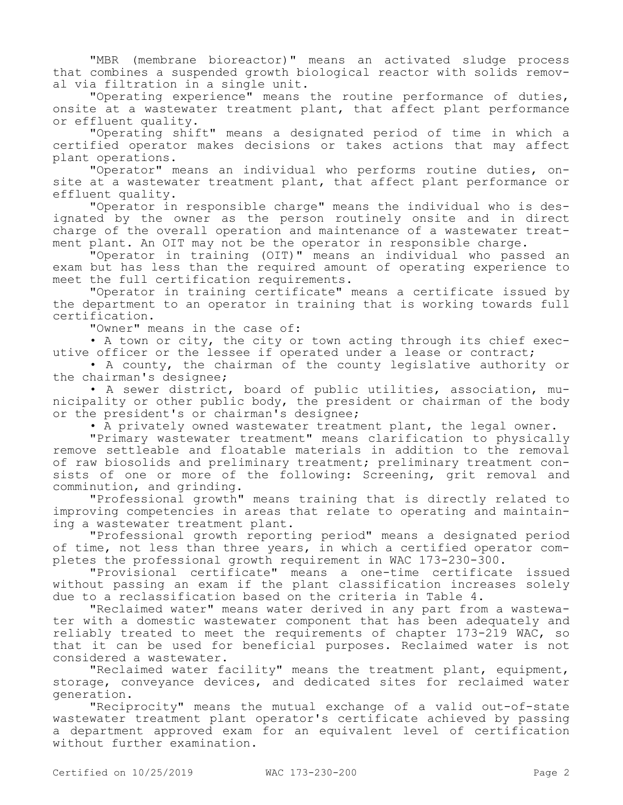"MBR (membrane bioreactor)" means an activated sludge process that combines a suspended growth biological reactor with solids removal via filtration in a single unit.

"Operating experience" means the routine performance of duties, onsite at a wastewater treatment plant, that affect plant performance or effluent quality.

"Operating shift" means a designated period of time in which a certified operator makes decisions or takes actions that may affect plant operations.

"Operator" means an individual who performs routine duties, onsite at a wastewater treatment plant, that affect plant performance or effluent quality.

"Operator in responsible charge" means the individual who is designated by the owner as the person routinely onsite and in direct charge of the overall operation and maintenance of a wastewater treatment plant. An OIT may not be the operator in responsible charge.

"Operator in training (OIT)" means an individual who passed an exam but has less than the required amount of operating experience to meet the full certification requirements.

"Operator in training certificate" means a certificate issued by the department to an operator in training that is working towards full certification.

"Owner" means in the case of:

• A town or city, the city or town acting through its chief executive officer or the lessee if operated under a lease or contract;

• A county, the chairman of the county legislative authority or the chairman's designee;

• A sewer district, board of public utilities, association, municipality or other public body, the president or chairman of the body or the president's or chairman's designee;

• A privately owned wastewater treatment plant, the legal owner.

"Primary wastewater treatment" means clarification to physically remove settleable and floatable materials in addition to the removal of raw biosolids and preliminary treatment; preliminary treatment consists of one or more of the following: Screening, grit removal and comminution, and grinding.

"Professional growth" means training that is directly related to improving competencies in areas that relate to operating and maintaining a wastewater treatment plant.

"Professional growth reporting period" means a designated period of time, not less than three years, in which a certified operator completes the professional growth requirement in WAC 173-230-300.

"Provisional certificate" means a one-time certificate issued without passing an exam if the plant classification increases solely due to a reclassification based on the criteria in Table 4.

"Reclaimed water" means water derived in any part from a wastewater with a domestic wastewater component that has been adequately and reliably treated to meet the requirements of chapter 173-219 WAC, so that it can be used for beneficial purposes. Reclaimed water is not considered a wastewater.

"Reclaimed water facility" means the treatment plant, equipment, storage, conveyance devices, and dedicated sites for reclaimed water generation.

"Reciprocity" means the mutual exchange of a valid out-of-state wastewater treatment plant operator's certificate achieved by passing a department approved exam for an equivalent level of certification without further examination.